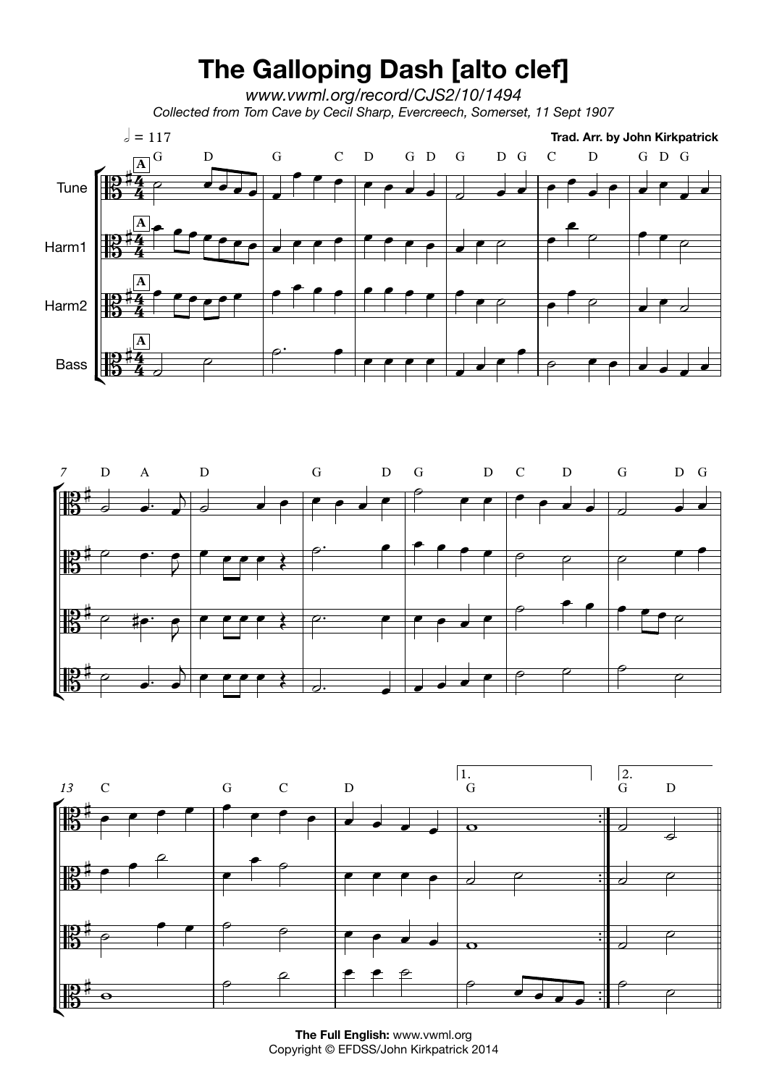## **The Galloping Dash [alto clef]**

*www.vwml.org/record/CJS2/10/1494 Collected from Tom Cave by Cecil Sharp, Evercreech, Somerset, 11 Sept 1907*







**The Full English:** www.vwml.org Copyright © EFDSS/John Kirkpatrick 2014